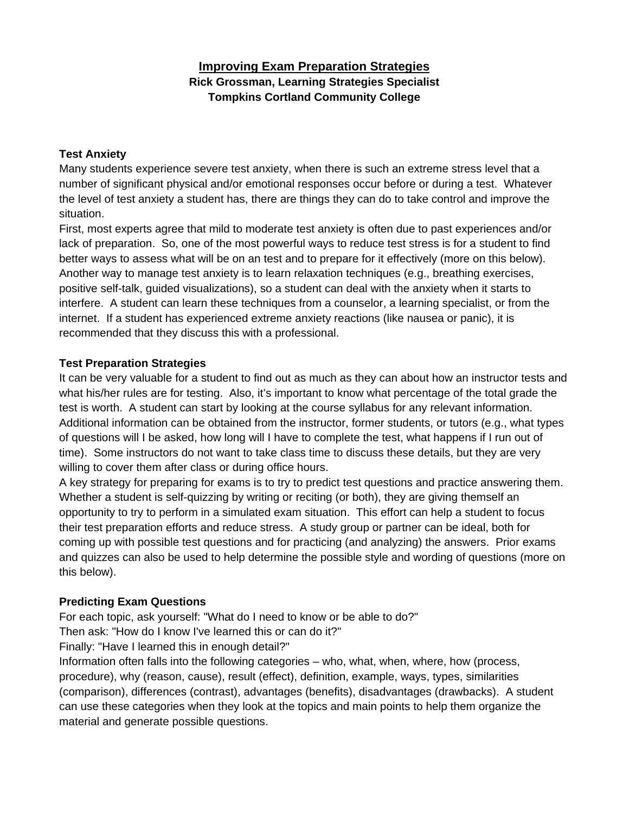# **Improving Exam Preparation Strategies Rick Grossman, Learning Strategies Specialist Tompkins Cortland Community College**

#### **Test Anxiety**

Many students experience severe test anxiety, when there is such an extreme stress level that a number of significant physical and/or emotional responses occur before or during a test. Whatever the level of test anxiety a student has, there are things they can do to take control and improve the situation.

First, most experts agree that mild to moderate test anxiety is often due to past experiences and/or lack of preparation. So, one of the most powerful ways to reduce test stress is for a student to find better ways to assess what will be on an test and to prepare for it effectively (more on this below). Another way to manage test anxiety is to learn relaxation techniques (e.g., breathing exercises, positive self-talk, guided visualizations), so a student can deal with the anxiety when it starts to interfere. A student can learn these techniques from a counselor, a learning specialist, or from the internet. If a student has experienced extreme anxiety reactions (like nausea or panic), it is recommended that they discuss this with a professional.

### **Test Preparation Strategies**

It can be very valuable for a student to find out as much as they can about how an instructor tests and what his/her rules are for testing. Also, it's important to know what percentage of the total grade the test is worth. A student can start by looking at the course syllabus for any relevant information. Additional information can be obtained from the instructor, former students, or tutors (e.g., what types of questions will I be asked, how long will I have to complete the test, what happens if I run out of time). Some instructors do not want to take class time to discuss these details, but they are very willing to cover them after class or during office hours.

A key strategy for preparing for exams is to try to predict test questions and practice answering them. Whether a student is self-quizzing by writing or reciting (or both), they are giving themself an opportunity to try to perform in a simulated exam situation. This effort can help a student to focus their test preparation efforts and reduce stress. A study group or partner can be ideal, both for coming up with possible test questions and for practicing (and analyzing) the answers. Prior exams and quizzes can also be used to help determine the possible style and wording of questions (more on this below).

### **Predicting Exam Questions**

For each topic, ask yourself: "What do I need to know or be able to do?"

Then ask: "How do I know I've learned this or can do it?"

Finally: "Have I learned this in enough detail?"

Information often falls into the following categories – who, what, when, where, how (process, procedure), why (reason, cause), result (effect), definition, example, ways, types, similarities (comparison), differences (contrast), advantages (benefits), disadvantages (drawbacks). A student can use these categories when they look at the topics and main points to help them organize the material and generate possible questions.